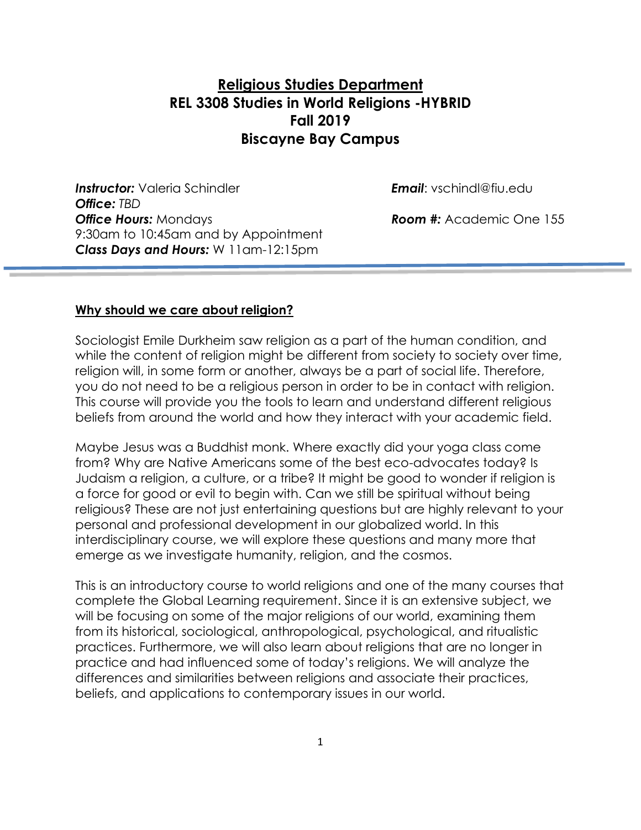# **Religious Studies Department REL 3308 Studies in World Religions -HYBRID Fall 2019 Biscayne Bay Campus**

*Instructor:* Valeria Schindler *Email*: vschindl@fiu.edu *Office: TBD* **Office Hours:** Mondays *Room #:* **Academic One 155** 9:30am to 10:45am and by Appointment *Class Days and Hours:* W 11am-12:15pm

#### **Why should we care about religion?**

Sociologist Emile Durkheim saw religion as a part of the human condition, and while the content of religion might be different from society to society over time, religion will, in some form or another, always be a part of social life. Therefore, you do not need to be a religious person in order to be in contact with religion. This course will provide you the tools to learn and understand different religious beliefs from around the world and how they interact with your academic field.

Maybe Jesus was a Buddhist monk. Where exactly did your yoga class come from? Why are Native Americans some of the best eco-advocates today? Is Judaism a religion, a culture, or a tribe? It might be good to wonder if religion is a force for good or evil to begin with. Can we still be spiritual without being religious? These are not just entertaining questions but are highly relevant to your personal and professional development in our globalized world. In this interdisciplinary course, we will explore these questions and many more that emerge as we investigate humanity, religion, and the cosmos.

This is an introductory course to world religions and one of the many courses that complete the Global Learning requirement. Since it is an extensive subject, we will be focusing on some of the major religions of our world, examining them from its historical, sociological, anthropological, psychological, and ritualistic practices. Furthermore, we will also learn about religions that are no longer in practice and had influenced some of today's religions. We will analyze the differences and similarities between religions and associate their practices, beliefs, and applications to contemporary issues in our world.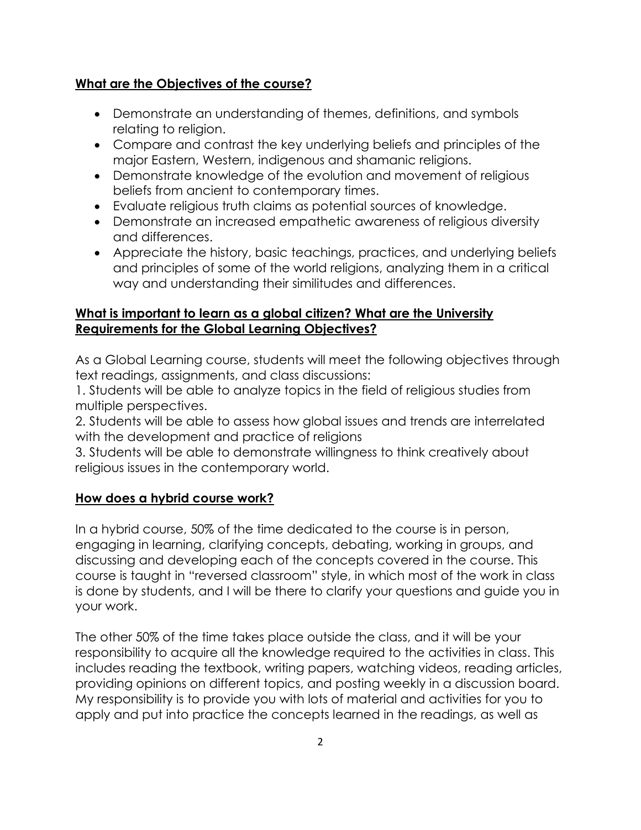## **What are the Objectives of the course?**

- Demonstrate an understanding of themes, definitions, and symbols relating to religion.
- Compare and contrast the key underlying beliefs and principles of the major Eastern, Western, indigenous and shamanic religions.
- Demonstrate knowledge of the evolution and movement of religious beliefs from ancient to contemporary times.
- Evaluate religious truth claims as potential sources of knowledge.
- Demonstrate an increased empathetic awareness of religious diversity and differences.
- Appreciate the history, basic teachings, practices, and underlying beliefs and principles of some of the world religions, analyzing them in a critical way and understanding their similitudes and differences.

## **What is important to learn as a global citizen? What are the University Requirements for the Global Learning Objectives?**

As a Global Learning course, students will meet the following objectives through text readings, assignments, and class discussions:

1. Students will be able to analyze topics in the field of religious studies from multiple perspectives.

2. Students will be able to assess how global issues and trends are interrelated with the development and practice of religions

3. Students will be able to demonstrate willingness to think creatively about religious issues in the contemporary world.

## **How does a hybrid course work?**

In a hybrid course, 50% of the time dedicated to the course is in person, engaging in learning, clarifying concepts, debating, working in groups, and discussing and developing each of the concepts covered in the course. This course is taught in "reversed classroom" style, in which most of the work in class is done by students, and I will be there to clarify your questions and guide you in your work.

The other 50% of the time takes place outside the class, and it will be your responsibility to acquire all the knowledge required to the activities in class. This includes reading the textbook, writing papers, watching videos, reading articles, providing opinions on different topics, and posting weekly in a discussion board. My responsibility is to provide you with lots of material and activities for you to apply and put into practice the concepts learned in the readings, as well as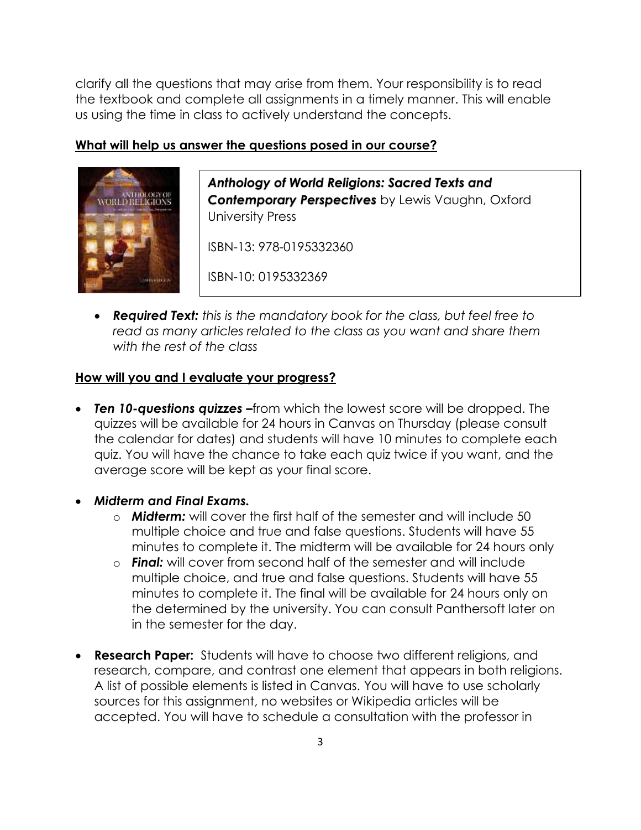clarify all the questions that may arise from them. Your responsibility is to read the textbook and complete all assignments in a timely manner. This will enable us using the time in class to actively understand the concepts.

## **What will help us answer the questions posed in our course?**



*Anthology of World Religions: Sacred Texts and Contemporary Perspectives* by Lewis Vaughn, Oxford University Press

ISBN-13: 978-0195332360

ISBN-10: 0195332369

• *Required Text: this is the mandatory book for the class, but feel free to read as many articles related to the class as you want and share them with the rest of the class*

### **How will you and I evaluate your progress?**

- *Ten 10-questions quizzes –*from which the lowest score will be dropped. The quizzes will be available for 24 hours in Canvas on Thursday (please consult the calendar for dates) and students will have 10 minutes to complete each quiz. You will have the chance to take each quiz twice if you want, and the average score will be kept as your final score.
- *Midterm and Final Exams.*
	- o *Midterm:* will cover the first half of the semester and will include 50 multiple choice and true and false questions. Students will have 55 minutes to complete it. The midterm will be available for 24 hours only
	- o *Final:* will cover from second half of the semester and will include multiple choice, and true and false questions. Students will have 55 minutes to complete it. The final will be available for 24 hours only on the determined by the university. You can consult Panthersoft later on in the semester for the day.
- **Research Paper:** Students will have to choose two different religions, and research, compare, and contrast one element that appears in both religions. A list of possible elements is listed in Canvas. You will have to use scholarly sources for this assignment, no websites or Wikipedia articles will be accepted. You will have to schedule a consultation with the professor in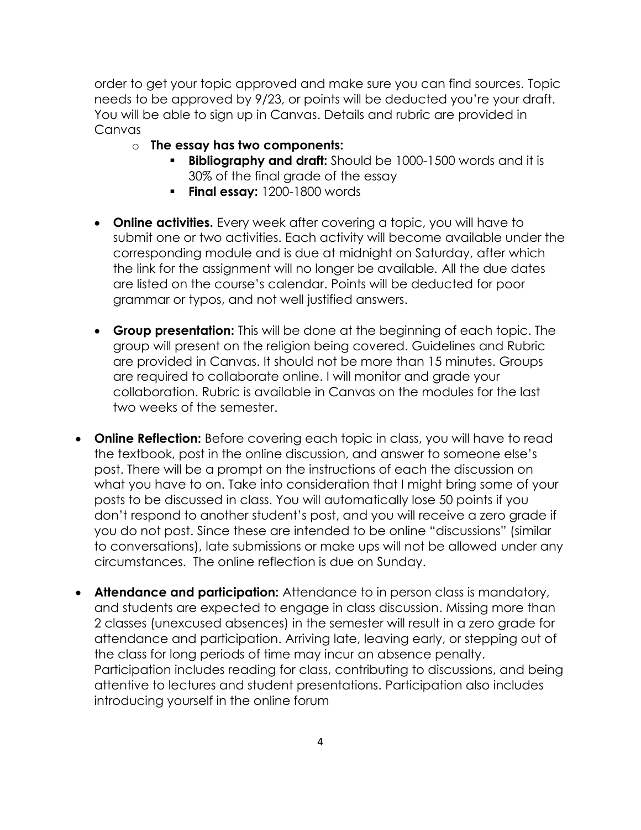order to get your topic approved and make sure you can find sources. Topic needs to be approved by 9/23, or points will be deducted you're your draft. You will be able to sign up in Canvas. Details and rubric are provided in Canvas

- o **The essay has two components:**
	- **Bibliography and draft:** Should be 1000-1500 words and it is 30% of the final grade of the essay
	- **Final essay:** 1200-1800 words
- **Online activities.** Every week after covering a topic, you will have to submit one or two activities. Each activity will become available under the corresponding module and is due at midnight on Saturday, after which the link for the assignment will no longer be available*.* All the due dates are listed on the course's calendar. Points will be deducted for poor grammar or typos, and not well justified answers.
- **Group presentation:** This will be done at the beginning of each topic. The group will present on the religion being covered. Guidelines and Rubric are provided in Canvas. It should not be more than 15 minutes. Groups are required to collaborate online. I will monitor and grade your collaboration. Rubric is available in Canvas on the modules for the last two weeks of the semester.
- **Online Reflection:** Before covering each topic in class, you will have to read the textbook, post in the online discussion, and answer to someone else's post. There will be a prompt on the instructions of each the discussion on what you have to on. Take into consideration that I might bring some of your posts to be discussed in class. You will automatically lose 50 points if you don't respond to another student's post, and you will receive a zero grade if you do not post. Since these are intended to be online "discussions" (similar to conversations), late submissions or make ups will not be allowed under any circumstances. The online reflection is due on Sunday.
- **Attendance and participation:** Attendance to in person class is mandatory, and students are expected to engage in class discussion. Missing more than 2 classes (unexcused absences) in the semester will result in a zero grade for attendance and participation. Arriving late, leaving early, or stepping out of the class for long periods of time may incur an absence penalty. Participation includes reading for class, contributing to discussions, and being attentive to lectures and student presentations. Participation also includes introducing yourself in the online forum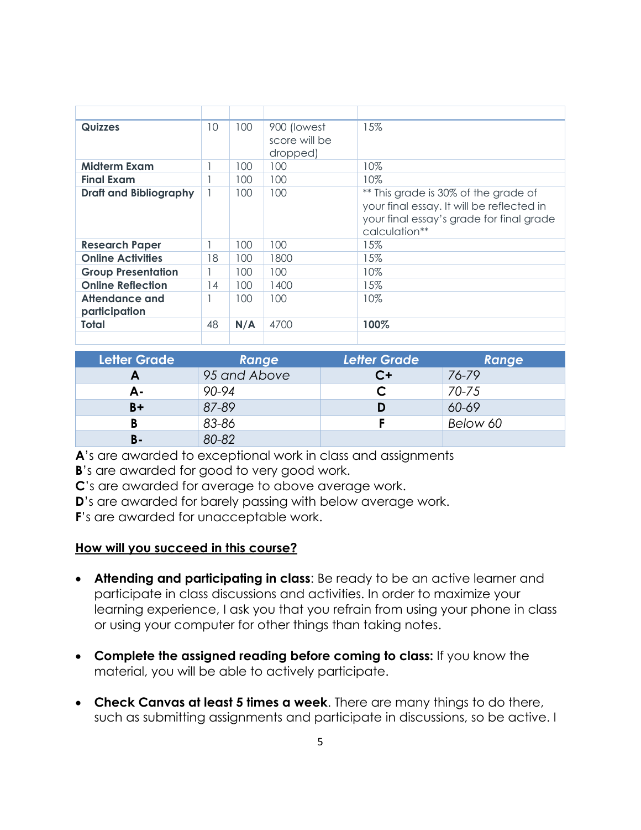| <b>Quizzes</b>                  | 10 | 100 | 900 (lowest<br>score will be<br>dropped) | 15%                                                                                                                                            |
|---------------------------------|----|-----|------------------------------------------|------------------------------------------------------------------------------------------------------------------------------------------------|
| <b>Midterm Exam</b>             |    | 100 | 100                                      | 10%                                                                                                                                            |
| <b>Final Exam</b>               |    | 100 | 100                                      | 10%                                                                                                                                            |
| <b>Draft and Bibliography</b>   |    | 100 | 100                                      | ** This grade is 30% of the grade of<br>your final essay. It will be reflected in<br>your final essay's grade for final grade<br>calculation** |
| <b>Research Paper</b>           |    | 100 | 100                                      | 15%                                                                                                                                            |
| <b>Online Activities</b>        | 18 | 100 | 1800                                     | 15%                                                                                                                                            |
| <b>Group Presentation</b>       |    | 100 | 100                                      | 10%                                                                                                                                            |
| <b>Online Reflection</b>        | 14 | 100 | 1400                                     | 15%                                                                                                                                            |
| Attendance and<br>participation |    | 100 | 100                                      | 10%                                                                                                                                            |
| Total                           | 48 | N/A | 4700                                     | 100%                                                                                                                                           |
|                                 |    |     |                                          |                                                                                                                                                |

| <b>Letter Grade</b> | Range        | <b>Letter Grade</b> | Range     |
|---------------------|--------------|---------------------|-----------|
| A                   | 95 and Above | C+                  | 76-79     |
| А-                  | 90-94        |                     | $70 - 75$ |
| $B +$               | 87-89        | D                   | 60-69     |
| В                   | 83-86        |                     | Below 60  |
| <b>B-</b>           | 80-82        |                     |           |

A<sup>'s</sup> are awarded to exceptional work in class and assignments

**B**'s are awarded for good to very good work.

**C**'s are awarded for average to above average work.

**D**'s are awarded for barely passing with below average work.

**F**'s are awarded for unacceptable work.

## **How will you succeed in this course?**

- **Attending and participating in class**: Be ready to be an active learner and participate in class discussions and activities. In order to maximize your learning experience, I ask you that you refrain from using your phone in class or using your computer for other things than taking notes.
- **Complete the assigned reading before coming to class:** If you know the material, you will be able to actively participate.
- **Check Canvas at least 5 times a week**. There are many things to do there, such as submitting assignments and participate in discussions, so be active. I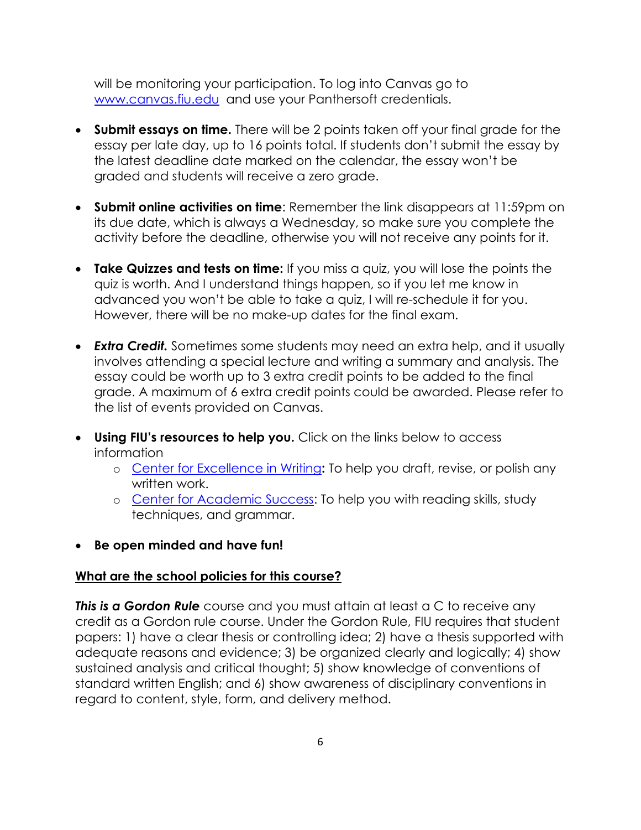will be monitoring your participation. To log into Canvas go to [www.canvas.fiu.edu](http://www.canvas.fiu.edu/) and use your Panthersoft credentials.

- **Submit essays on time.** There will be 2 points taken off your final grade for the essay per late day, up to 16 points total. If students don't submit the essay by the latest deadline date marked on the calendar, the essay won't be graded and students will receive a zero grade.
- **Submit online activities on time**: Remember the link disappears at 11:59pm on its due date, which is always a Wednesday, so make sure you complete the activity before the deadline, otherwise you will not receive any points for it.
- **Take Quizzes and tests on time:** If you miss a quiz, you will lose the points the quiz is worth. And I understand things happen, so if you let me know in advanced you won't be able to take a quiz, I will re-schedule it for you. However, there will be no make-up dates for the final exam.
- *Extra Credit.* Sometimes some students may need an extra help, and it usually involves attending a special lecture and writing a summary and analysis. The essay could be worth up to 3 extra credit points to be added to the final grade. A maximum of 6 extra credit points could be awarded. Please refer to the list of events provided on Canvas.
- **Using FIU's resources to help you.** Click on the links below to access information
	- o [Center for Excellence in Writing](https://writingcenter.fiu.edu/)**:** To help you draft, revise, or polish any written work.
	- o [Center for Academic Success:](http://undergrad.fiu.edu/cas/) To help you with reading skills, study techniques, and grammar.
- **Be open minded and have fun!**

## **What are the school policies for this course?**

*This is a Gordon Rule* course and you must attain at least a C to receive any credit as a Gordon rule course. Under the Gordon Rule, FIU requires that student papers: 1) have a clear thesis or controlling idea; 2) have a thesis supported with adequate reasons and evidence; 3) be organized clearly and logically; 4) show sustained analysis and critical thought; 5) show knowledge of conventions of standard written English; and 6) show awareness of disciplinary conventions in regard to content, style, form, and delivery method.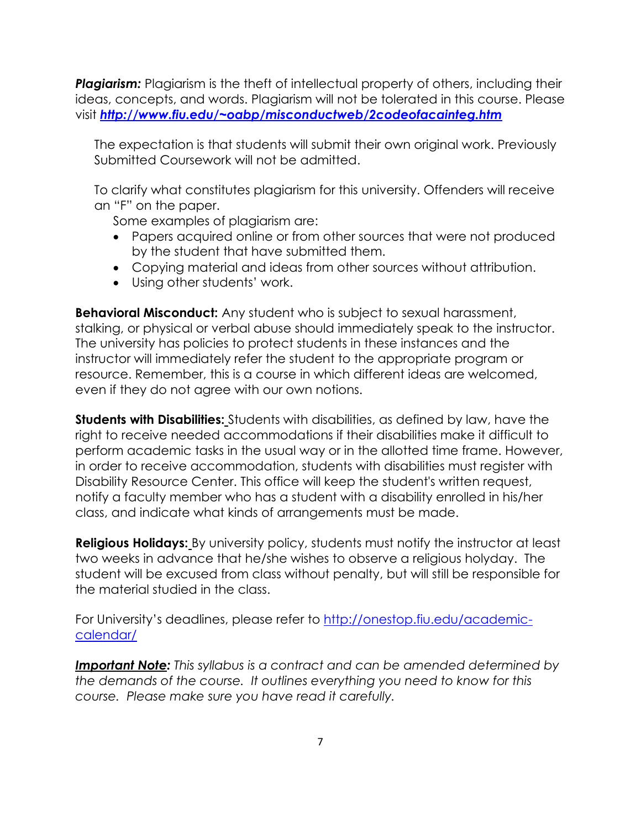*Plagiarism:* Plagiarism is the theft of intellectual property of others, including their ideas, concepts, and words. Plagiarism will not be tolerated in this course. Please visit *<http://www.fiu.edu/~oabp/misconductweb/2codeofacainteg.htm>*

The expectation is that students will submit their own original work. Previously Submitted Coursework will not be admitted.

To clarify what constitutes plagiarism for this university. Offenders will receive an "F" on the paper.

Some examples of plagiarism are:

- Papers acquired online or from other sources that were not produced by the student that have submitted them.
- Copying material and ideas from other sources without attribution.
- Using other students' work.

**Behavioral Misconduct:** Any student who is subject to sexual harassment, stalking, or physical or verbal abuse should immediately speak to the instructor. The university has policies to protect students in these instances and the instructor will immediately refer the student to the appropriate program or resource. Remember, this is a course in which different ideas are welcomed, even if they do not agree with our own notions.

**Students with Disabilities:** Students with disabilities, as defined by law, have the right to receive needed accommodations if their disabilities make it difficult to perform academic tasks in the usual way or in the allotted time frame. However, in order to receive accommodation, students with disabilities must register with Disability Resource Center. This office will keep the student's written request, notify a faculty member who has a student with a disability enrolled in his/her class, and indicate what kinds of arrangements must be made.

**Religious Holidays:** By university policy, students must notify the instructor at least two weeks in advance that he/she wishes to observe a religious holyday. The student will be excused from class without penalty, but will still be responsible for the material studied in the class.

For University's deadlines, please refer to [http://onestop.fiu.edu/academic](http://onestop.fiu.edu/academic-calendar/)[calendar/](http://onestop.fiu.edu/academic-calendar/)

*Important Note: This syllabus is a contract and can be amended determined by the demands of the course. It outlines everything you need to know for this course. Please make sure you have read it carefully.*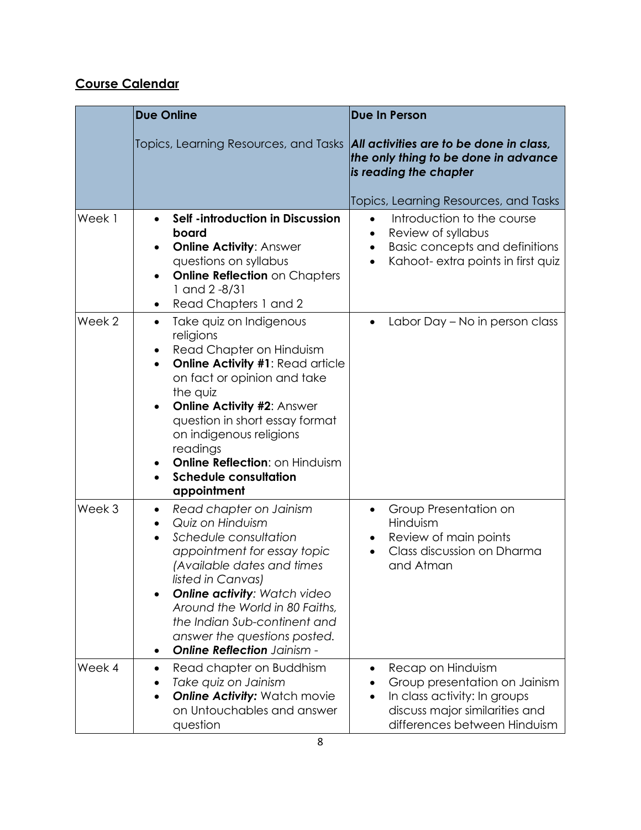# **Course Calendar**

|                   | <b>Due Online</b>                                                                                                                                                                                                                                                                                                                                                                                        | <b>Due In Person</b>                                                                                                                                                |
|-------------------|----------------------------------------------------------------------------------------------------------------------------------------------------------------------------------------------------------------------------------------------------------------------------------------------------------------------------------------------------------------------------------------------------------|---------------------------------------------------------------------------------------------------------------------------------------------------------------------|
|                   | Topics, Learning Resources, and Tasks                                                                                                                                                                                                                                                                                                                                                                    | All activities are to be done in class,<br>the only thing to be done in advance<br>is reading the chapter                                                           |
|                   |                                                                                                                                                                                                                                                                                                                                                                                                          | Topics, Learning Resources, and Tasks                                                                                                                               |
| Week 1            | Self -introduction in Discussion<br>$\bullet$<br>board<br><b>Online Activity: Answer</b><br>$\bullet$<br>questions on syllabus<br><b>Online Reflection on Chapters</b><br>$\bullet$<br>$1$ and $2 - 8/31$<br>Read Chapters 1 and 2<br>٠                                                                                                                                                                  | Introduction to the course<br>$\bullet$<br>Review of syllabus<br>٠<br><b>Basic concepts and definitions</b><br>٠<br>Kahoot- extra points in first quiz<br>$\bullet$ |
| Week <sub>2</sub> | Take quiz on Indigenous<br>$\bullet$<br>religions<br>Read Chapter on Hinduism<br>٠<br><b>Online Activity #1: Read article</b><br>$\bullet$<br>on fact or opinion and take<br>the quiz<br><b>Online Activity #2: Answer</b><br>$\bullet$<br>question in short essay format<br>on indigenous religions<br>readings<br><b>Online Reflection: on Hinduism</b><br><b>Schedule consultation</b><br>appointment | Labor Day – No in person class                                                                                                                                      |
| Week <sub>3</sub> | Read chapter on Jainism<br>$\bullet$<br>Quiz on Hinduism<br>Schedule consultation<br>appointment for essay topic<br>(Available dates and times<br>listed in Canvas)<br><b>Online activity: Watch video</b><br>Around the World in 80 Faiths,<br>the Indian Sub-continent and<br>answer the questions posted.<br><b>Online Reflection</b> Jainism -                                                       | Group Presentation on<br>$\bullet$<br>Hinduism<br>Review of main points<br>Class discussion on Dharma<br>and Atman                                                  |
| Week 4            | Read chapter on Buddhism<br>Take quiz on Jainism<br><b>Online Activity: Watch movie</b><br>on Untouchables and answer<br>question                                                                                                                                                                                                                                                                        | Recap on Hinduism<br>Group presentation on Jainism<br>In class activity: In groups<br>discuss major similarities and<br>differences between Hinduism                |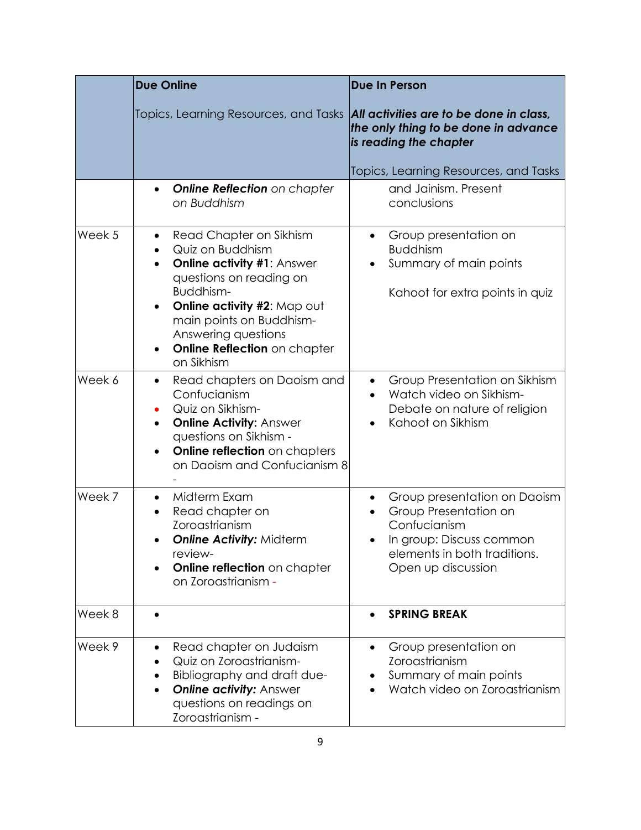|        | <b>Due Online</b>                                                                                                                                                                                                                                                                                            | <b>Due In Person</b>                                                                                                                                    |
|--------|--------------------------------------------------------------------------------------------------------------------------------------------------------------------------------------------------------------------------------------------------------------------------------------------------------------|---------------------------------------------------------------------------------------------------------------------------------------------------------|
|        | Topics, Learning Resources, and Tasks                                                                                                                                                                                                                                                                        | All activities are to be done in class,<br>the only thing to be done in advance<br>is reading the chapter                                               |
|        |                                                                                                                                                                                                                                                                                                              | Topics, Learning Resources, and Tasks                                                                                                                   |
|        | <b>Online Reflection</b> on chapter<br>$\bullet$<br>on Buddhism                                                                                                                                                                                                                                              | and Jainism. Present<br>conclusions                                                                                                                     |
| Week 5 | Read Chapter on Sikhism<br>$\bullet$<br>Quiz on Buddhism<br>$\bullet$<br><b>Online activity #1: Answer</b><br>$\bullet$<br>questions on reading on<br>Buddhism-<br>Online activity #2: Map out<br>$\bullet$<br>main points on Buddhism-<br>Answering questions<br>Online Reflection on chapter<br>on Sikhism | Group presentation on<br>$\bullet$<br><b>Buddhism</b><br>Summary of main points<br>$\bullet$<br>Kahoot for extra points in quiz                         |
| Week 6 | Read chapters on Daoism and<br>$\bullet$<br>Confucianism<br>Quiz on Sikhism-<br><b>Online Activity: Answer</b><br>$\bullet$<br>questions on Sikhism -<br><b>Online reflection</b> on chapters<br>$\bullet$<br>on Daoism and Confucianism 8                                                                   | Group Presentation on Sikhism<br>$\bullet$<br>Watch video on Sikhism-<br>Debate on nature of religion<br>Kahoot on Sikhism                              |
| Week 7 | Midterm Exam<br>Read chapter on<br>$\bullet$<br>Zoroastrianism<br><b>Online Activity: Midterm</b><br>review-<br>Online reflection on chapter<br>on Zoroastrianism -                                                                                                                                          | Group presentation on Daoism<br>Group Presentation on<br>Confucianism<br>In group: Discuss common<br>elements in both traditions.<br>Open up discussion |
| Week 8 |                                                                                                                                                                                                                                                                                                              | <b>SPRING BREAK</b>                                                                                                                                     |
| Week 9 | Read chapter on Judaism<br>$\bullet$<br>Quiz on Zoroastrianism-<br>Bibliography and draft due-<br><b>Online activity: Answer</b><br>questions on readings on<br>Zoroastrianism -                                                                                                                             | Group presentation on<br>$\bullet$<br>Zoroastrianism<br>Summary of main points<br>Watch video on Zoroastrianism                                         |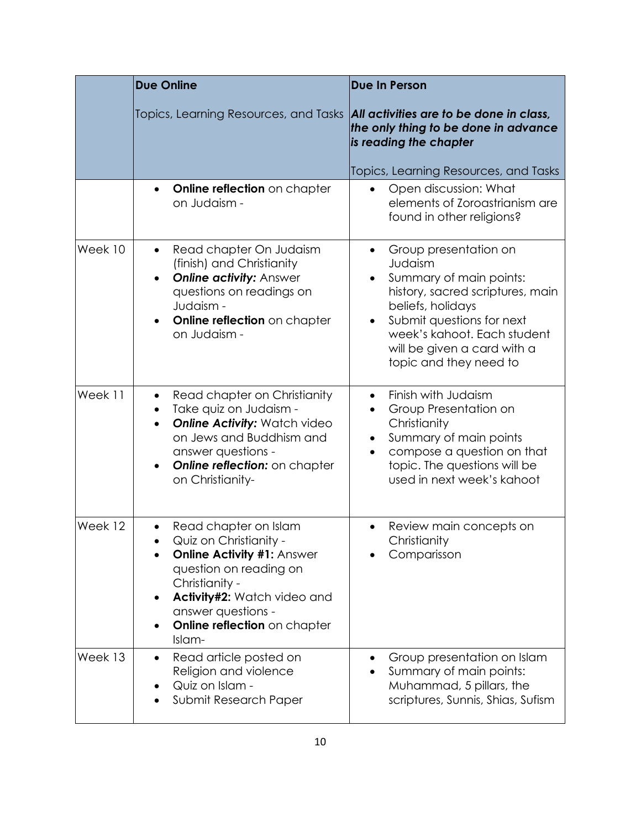|         | <b>Due Online</b>                                                                                                                                                                                                                                               | <b>Due In Person</b>                                                                                                                                                                                                                                   |
|---------|-----------------------------------------------------------------------------------------------------------------------------------------------------------------------------------------------------------------------------------------------------------------|--------------------------------------------------------------------------------------------------------------------------------------------------------------------------------------------------------------------------------------------------------|
|         | Topics, Learning Resources, and Tasks                                                                                                                                                                                                                           | All activities are to be done in class,<br>the only thing to be done in advance<br>is reading the chapter                                                                                                                                              |
|         | Online reflection on chapter<br>$\bullet$<br>on Judaism -                                                                                                                                                                                                       | Topics, Learning Resources, and Tasks<br>Open discussion: What<br>$\bullet$<br>elements of Zoroastrianism are<br>found in other religions?                                                                                                             |
| Week 10 | Read chapter On Judaism<br>$\bullet$<br>(finish) and Christianity<br><b>Online activity: Answer</b><br>questions on readings on<br>Judaism -<br>Online reflection on chapter<br>$\bullet$<br>on Judaism -                                                       | Group presentation on<br>$\bullet$<br>Judaism<br>Summary of main points:<br>history, sacred scriptures, main<br>beliefs, holidays<br>Submit questions for next<br>week's kahoot. Each student<br>will be given a card with a<br>topic and they need to |
| Week 11 | Read chapter on Christianity<br>$\bullet$<br>Take quiz on Judaism -<br>$\bullet$<br><b>Online Activity: Watch video</b><br>$\bullet$<br>on Jews and Buddhism and<br>answer questions -<br><b>Online reflection:</b> on chapter<br>$\bullet$<br>on Christianity- | Finish with Judaism<br>Group Presentation on<br>Christianity<br>Summary of main points<br>compose a question on that<br>topic. The questions will be<br>used in next week's kahoot                                                                     |
| Week 12 | Read chapter on Islam<br>Quiz on Christianity -<br><b>Online Activity #1: Answer</b><br>question on reading on<br>Christianity -<br>Activity#2: Watch video and<br>$\bullet$<br>answer questions -<br>Online reflection on chapter<br>Islam-                    | Review main concepts on<br>Christianity<br>Comparisson                                                                                                                                                                                                 |
| Week 13 | Read article posted on<br>$\bullet$<br>Religion and violence<br>Quiz on Islam -<br>Submit Research Paper                                                                                                                                                        | Group presentation on Islam<br>Summary of main points:<br>Muhammad, 5 pillars, the<br>scriptures, Sunnis, Shias, Sufism                                                                                                                                |